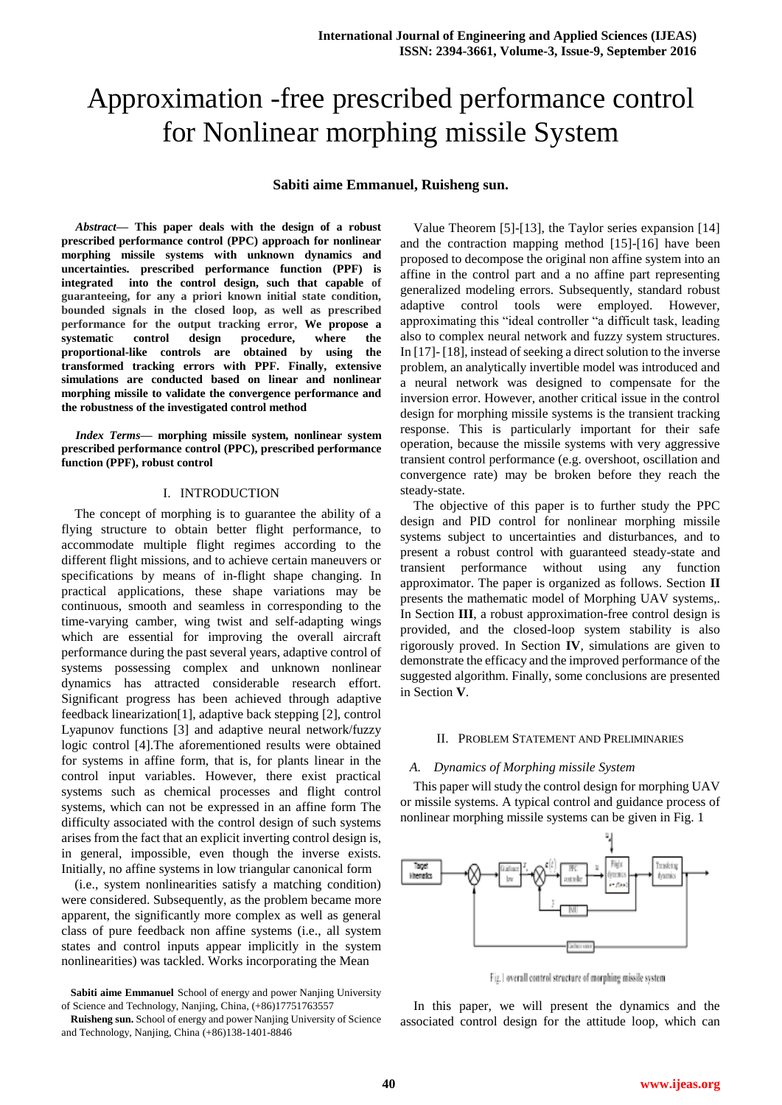# Approximation -free prescribed performance control for Nonlinear morphing missile System

# **Sabiti aime Emmanuel, Ruisheng sun.**

*Abstract***— This paper deals with the design of a robust prescribed performance control (PPC) approach for nonlinear morphing missile systems with unknown dynamics and uncertainties. prescribed performance function (PPF) is integrated into the control design, such that capable of guaranteeing, for any a priori known initial state condition, bounded signals in the closed loop, as well as prescribed performance for the output tracking error, We propose a systematic control design procedure, where the proportional-like controls are obtained by using the transformed tracking errors with PPF. Finally, extensive simulations are conducted based on linear and nonlinear morphing missile to validate the convergence performance and the robustness of the investigated control method**

*Index Terms***— morphing missile system, nonlinear system prescribed performance control (PPC), prescribed performance function (PPF), robust control**

# I. INTRODUCTION

The concept of morphing is to guarantee the ability of a flying structure to obtain better flight performance, to accommodate multiple flight regimes according to the different flight missions, and to achieve certain maneuvers or specifications by means of in-flight shape changing. In practical applications, these shape variations may be continuous, smooth and seamless in corresponding to the time-varying camber, wing twist and self-adapting wings which are essential for improving the overall aircraft performance during the past several years, adaptive control of systems possessing complex and unknown nonlinear dynamics has attracted considerable research effort. Significant progress has been achieved through adaptive feedback linearization[1], adaptive back stepping [2], control Lyapunov functions [3] and adaptive neural network/fuzzy logic control [4].The aforementioned results were obtained for systems in affine form, that is, for plants linear in the control input variables. However, there exist practical systems such as chemical processes and flight control systems, which can not be expressed in an affine form The difficulty associated with the control design of such systems arises from the fact that an explicit inverting control design is, in general, impossible, even though the inverse exists. Initially, no affine systems in low triangular canonical form

(i.e., system nonlinearities satisfy a matching condition) were considered. Subsequently, as the problem became more apparent, the significantly more complex as well as general class of pure feedback non affine systems (i.e., all system states and control inputs appear implicitly in the system nonlinearities) was tackled. Works incorporating the Mean

**Sabiti aime Emmanuel** School of energy and power Nanjing University of Science and Technology, Nanjing, China, (+86)17751763557

**Ruisheng sun.** School of energy and power Nanjing University of Science and Technology, Nanjing, China (+86)138-1401-8846

Value Theorem [5]-[13], the Taylor series expansion [14] and the contraction mapping method [15]-[16] have been proposed to decompose the original non affine system into an affine in the control part and a no affine part representing generalized modeling errors. Subsequently, standard robust adaptive control tools were employed. However, approximating this "ideal controller "a difficult task, leading also to complex neural network and fuzzy system structures. In [17]- [18], instead of seeking a direct solution to the inverse problem, an analytically invertible model was introduced and a neural network was designed to compensate for the inversion error. However, another critical issue in the control design for morphing missile systems is the transient tracking response. This is particularly important for their safe operation, because the missile systems with very aggressive transient control performance (e.g. overshoot, oscillation and convergence rate) may be broken before they reach the steady-state.

The objective of this paper is to further study the PPC design and PID control for nonlinear morphing missile systems subject to uncertainties and disturbances, and to present a robust control with guaranteed steady-state and transient performance without using any function approximator. The paper is organized as follows. Section **II** presents the mathematic model of Morphing UAV systems,. In Section **III**, a robust approximation-free control design is provided, and the closed-loop system stability is also rigorously proved. In Section **IV**, simulations are given to demonstrate the efficacy and the improved performance of the suggested algorithm. Finally, some conclusions are presented in Section **V**.

#### II. PROBLEM STATEMENT AND PRELIMINARIES

# *A. Dynamics of Morphing missile System*

This paper will study the control design for morphing UAV or missile systems. A typical control and guidance process of nonlinear morphing missile systems can be given in Fig. 1



Fig.1 overall control structure of morphing missile system

In this paper, we will present the dynamics and the associated control design for the attitude loop, which can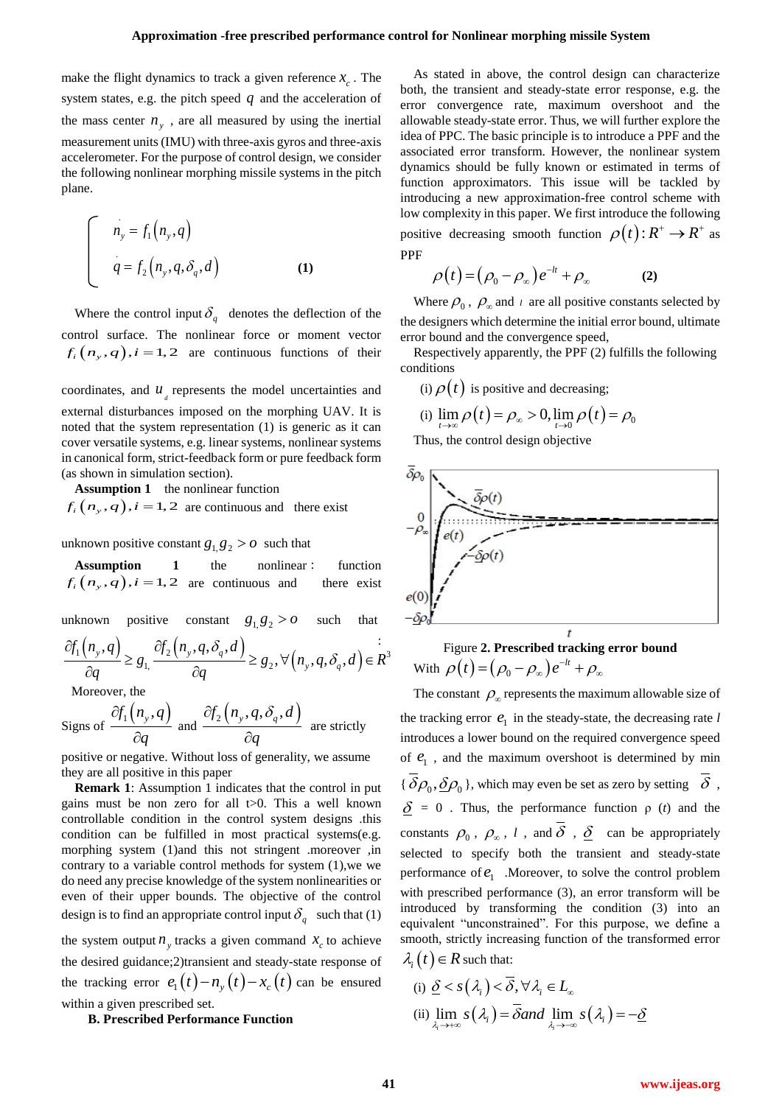make the flight dynamics to track a given reference  $x_c$ . The system states, e.g. the pitch speed  $q$  and the acceleration of the mass center  $n_y$ , are all measured by using the inertial measurement units (IMU) with three-axis gyros and three-axis accelerometer. For the purpose of control design, we consider the following nonlinear morphing missile systems in the pitch plane.

$$
\begin{cases}\nn_y = f_1(n_y, q) \\
q = f_2(n_y, q, \delta_q, d)\n\end{cases}
$$
\n(1)

Where the control input  $\delta_q$  denotes the deflection of the control surface. The nonlinear force or moment vector  $f_i(n_y, q), i = 1, 2$  are continuous functions of their

coordinates, and  $\boldsymbol{u}_{d}$  represents the model uncertainties and external disturbances imposed on the morphing UAV. It is noted that the system representation (1) is generic as it can cover versatile systems, e.g. linear systems, nonlinear systems in canonical form, strict-feedback form or pure feedback form (as shown in simulation section).

**Assumption 1** the nonlinear function  $f_i(n_y, q)$ ,  $i = 1, 2$  are continuous and there exist

unknown positive constant  $g_1, g_2 > 0$  such that

**Assumption** 1 the nonlinear : function  $f_i(n_y, q)$ ,  $i = 1, 2$  are continuous and there exist

unknown positive constant  $g_1, g_2 > 0$ such that

unknown positive constant 
$$
g_1, g_2 > 0
$$
 such that  $\frac{-\delta}{d}$   
\n
$$
\frac{\partial f_1(n_y, q)}{\partial q} \ge g_1, \frac{\partial f_2(n_y, q, \delta_q, d)}{\partial q} \ge g_2, \forall (n_y, q, \delta_q, d) \in \mathbb{R}^3
$$
\nMoreover the

Moreover, the

Signs of 
$$
\frac{\partial f_1(n_y, q)}{\partial q}
$$
 and  $\frac{\partial f_2(n_y, q, \delta_q, d)}{\partial q}$  are strictly

positive or negative. Without loss of generality, we assume they are all positive in this paper

**Remark 1**: Assumption 1 indicates that the control in put gains must be non zero for all  $t>0$ . This a well known controllable condition in the control system designs .this condition can be fulfilled in most practical systems(e.g. morphing system (1)and this not stringent .moreover ,in contrary to a variable control methods for system (1),we we do need any precise knowledge of the system nonlinearities or even of their upper bounds. The objective of the control design is to find an appropriate control input  $\delta_q$  such that (1) the system output  $n_y$  tracks a given command  $x_c$  to achieve the desired guidance;2)transient and steady-state response of the tracking error  $e_1(t) - n_y(t) - x_c(t)$  can be ensured

# **B. Prescribed Performance Function**

within a given prescribed set.

As stated in above, the control design can characterize both, the transient and steady-state error response, e.g. the error convergence rate, maximum overshoot and the allowable steady-state error. Thus, we will further explore the idea of PPC. The basic principle is to introduce a PPF and the associated error transform. However, the nonlinear system dynamics should be fully known or estimated in terms of function approximators. This issue will be tackled by introducing a new approximation-free control scheme with low complexity in this paper. We first introduce the following positive decreasing smooth function  $\rho(t)$ :  $R^+ \rightarrow R^+$  as PPF

$$
\rho(t) = (\rho_0 - \rho_\infty)e^{-lt} + \rho_\infty \tag{2}
$$

Where  $\rho_0$ ,  $\rho_{\infty}$  and  $\iota$  are all positive constants selected by the designers which determine the initial error bound, ultimate error bound and the convergence speed,

Respectively apparently, the PPF (2) fulfills the following conditions

(i) 
$$
\rho(t)
$$
 is positive and decreasing;  
\n(i)  $\lim_{t \to \infty} \rho(t) = \rho_{\infty} > 0$ ,  $\lim_{t \to 0} \rho(t) = \rho_0$ 

Thus, the control design objective



Figure **2. Prescribed tracking error bound** With  $\rho(t) = (\rho_0 - \rho_\infty)e^{-lt} + \rho_\infty$ 

The constant  $\rho_{\infty}$  represents the maximum allowable size of the tracking error  $e_1$  in the steady-state, the decreasing rate  $l$ introduces a lower bound on the required convergence speed of  $e_1$ , and the maximum overshoot is determined by min { $\delta \rho_0$ ,  $\underline{\delta} \rho_0$ }, which may even be set as zero by setting  $\delta$ ,  $\delta = 0$ . Thus, the performance function  $\rho$  (*t*) and the constants  $\rho_0$ ,  $\rho_{\infty}$ , l, and  $\delta$ ,  $\underline{\delta}$  can be appropriately selected to specify both the transient and steady-state performance of  $e_1$  . Moreover, to solve the control problem with prescribed performance (3), an error transform will be introduced by transforming the condition (3) into an equivalent "unconstrained". For this purpose, we define a smooth, strictly increasing function of the transformed error  $\lambda_i(t) \in R$  such that:

(i) 
$$
\underline{\delta} < s(\lambda_i) < \overline{\delta}, \forall \lambda_i \in L_\infty
$$
  
\n(ii)  $\lim_{\lambda_i \to +\infty} s(\lambda_i) = \overline{\delta} \text{ and } \lim_{\lambda_i \to -\infty} s(\lambda_i) = -\underline{\delta}$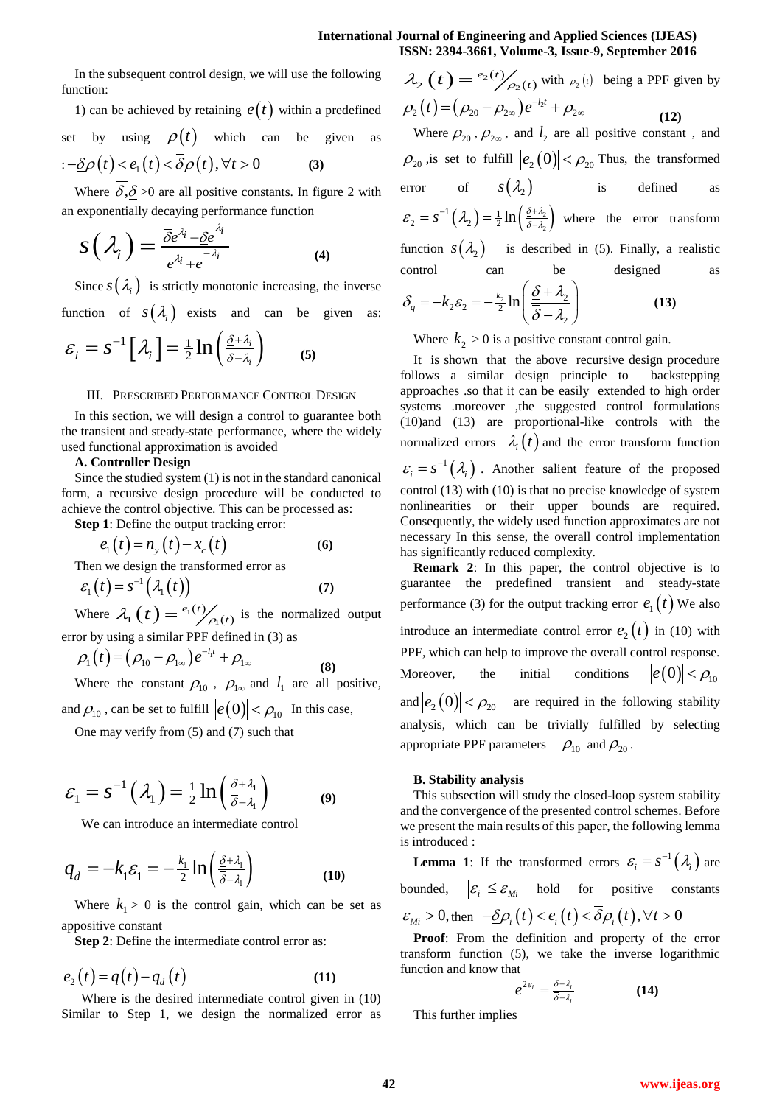$e_2(t)$ 

In the subsequent control design, we will use the following function:

1) can be achieved by retaining 
$$
e(t)
$$
 within a predefined  
set by using  $\rho(t)$  which can be given as  
 $=-\underline{\delta}\rho(t) < e_1(t) < \overline{\delta}\rho(t)$ ,  $\forall t > 0$  (3)

Where  $\delta, \delta \geq 0$  are all positive constants. In figure 2 with an exponentially decaying performance function

$$
S\left(\lambda_i\right) = \frac{\overline{\delta}e^{\lambda_i} - \underline{\delta}e^{\lambda_i}}{e^{\lambda_i} + e^{-\lambda_i}}
$$
\n(4)

Since  $s(\lambda_i)$  is strictly monotonic increasing, the inverse

function of  $s(\lambda_i)$  exists and can be given as:

$$
\varepsilon_i = s^{-1} \left[ \lambda_i \right] = \frac{1}{2} \ln \left( \frac{\underline{\delta} + \lambda_i}{\overline{\delta} - \lambda_i} \right) \tag{5}
$$

# III. PRESCRIBED PERFORMANCE CONTROL DESIGN

In this section, we will design a control to guarantee both the transient and steady-state performance, where the widely used functional approximation is avoided

## **A. Controller Design**

Since the studied system (1) is not in the standard canonical form, a recursive design procedure will be conducted to achieve the control objective. This can be processed as:

**Step 1**: Define the output tracking error:

$$
e_1(t) = n_y(t) - x_c(t)
$$
 (6)

Then we design the transformed error as

$$
\varepsilon_1(t) = s^{-1}(\lambda_1(t)) \tag{7}
$$

Where  $\lambda_1(t) = \frac{e_1(t)}{2}$  $\mathbf{e}_{1}(t) = \frac{e_{1}(t)}{\rho_{1}(t)}$  $e_1(t)$  $\lambda_1(t) = \frac{e_1(t)}{e_1(t)}$  is the normalized output

error by using a similar PPF defined in (3) as  
\n
$$
\rho_1(t) = (\rho_{10} - \rho_{1\infty})e^{-l_1 t} + \rho_{1\infty}
$$
\n(8)

Where the constant  $\rho_{10}$ ,  $\rho_{1\infty}$  and  $l_1$  are all positive, and  $\rho_{10}$  , can be set to fulfill  $|e(0)| < \rho_{10}$  In this case,

One may verify from (5) and (7) such that

$$
\varepsilon_1 = s^{-1}\left(\lambda_1\right) = \frac{1}{2}\ln\left(\frac{\underline{\delta} + \lambda_1}{\overline{\delta} - \lambda_1}\right) \tag{9}
$$

We can introduce an intermediate control

$$
q_d = -k_1 \varepsilon_1 = -\frac{k_1}{2} \ln \left( \frac{\underline{\delta} + \lambda_1}{\overline{\delta} - \lambda_1} \right) \tag{10}
$$

Where  $k_1 > 0$  is the control gain, which can be set as appositive constant

**Step 2**: Define the intermediate control error as:

$$
e_2(t) = q(t) - q_d(t)
$$
 (11)

 Where is the desired intermediate control given in (10) Similar to Step 1, we design the normalized error as

 $(t) = \binom{e_2(t)}{2}$  $e_2(t) = \frac{e_2(t)}{2\rho_2(t)}$  $\lambda_2(t) = \frac{e_2(t)}{\rho_2(t)}$  with  $\rho_2(t)$  being a PPF given by  $\rho_2(t) = (\rho_{20} - \rho_{2\infty})e^{-l_2t} + \rho_{2\infty}$  **(12)**  Where  $\rho_{20}$ ,  $\rho_{2\infty}$ , and  $l_2$  are all positive constant, and  $\rho_{20}$  is set to fulfill  $|e_2(0)| < \rho_{20}$  Thus, the transformed error of  $s(\lambda)$  is defined as  $\left(\lambda_2\right) = \frac{1}{2} \ln \left(\frac{\frac{\partial^2}{\partial \lambda_2}}{\overline{\delta} - \lambda_2}\right).$  $\overline{c}$  $\varepsilon_2 = s^{-1}(\lambda_2) = \frac{1}{2} \ln \left( \frac{\frac{\delta + \lambda_2}{\delta - \lambda_2}}{\frac{\delta - \lambda_2}{\delta}} \right)$  $= s^{-1} (\lambda_2) = \frac{1}{2} \ln \left( \frac{\delta + \lambda_2}{\delta - \lambda_2} \right)$  where the error transform function  $s(\lambda_2)$  is described in (5). Finally, a realistic control can be designed as

$$
\delta_q = -k_2 \varepsilon_2 = -\frac{k_2}{2} \ln \left( \frac{\underline{\delta} + \lambda_2}{\overline{\delta} - \lambda_2} \right)
$$
 (13)

Where  $k_2 > 0$  is a positive constant control gain.

It is shown that the above recursive design procedure follows a similar design principle to backstepping approaches .so that it can be easily extended to high order systems .moreover ,the suggested control formulations (10)and (13) are proportional-like controls with the normalized errors  $\lambda_i(t)$  and the error transform function  $\varepsilon_i = s^{-1}(\lambda_i)$ . Another salient feature of the proposed control (13) with (10) is that no precise knowledge of system nonlinearities or their upper bounds are required. Consequently, the widely used function approximates are not necessary In this sense, the overall control implementation has significantly reduced complexity.

**Remark 2**: In this paper, the control objective is to guarantee the predefined transient and steady-state performance (3) for the output tracking error  $e_1(t)$  We also introduce an intermediate control error  $e_2(t)$  in (10) with PPF, which can help to improve the overall control response. Moreover, the initial conditions  $|e(0)| < \rho_{10}$ and  $|e_2(0)| < \rho_{20}$  are required in the following stability analysis, which can be trivially fulfilled by selecting appropriate PPF parameters  $\rho_{10}$  and  $\rho_{20}$ .

## **B. Stability analysis**

This subsection will study the closed-loop system stability and the convergence of the presented control schemes. Before we present the main results of this paper, the following lemma is introduced :

**Lemma 1:** If the transformed errors  $\varepsilon_i = s^{-1}(\lambda_i)$  are bounded,  $|\varepsilon_i| \leq \varepsilon_{Mi}$  hold for positive constants  $\varepsilon_{Mi} > 0$ , then  $-\underline{\delta} \rho_i(t) < e_i(t) < \overline{\delta} \rho_i(t)$ ,  $\forall t > 0$ 

**Proof**: From the definition and property of the error transform function (5), we take the inverse logarithmic function and know that

$$
e^{2\varepsilon_i} = \frac{\underline{\delta} + \lambda_i}{\overline{\delta} - \lambda_i} \tag{14}
$$

This further implies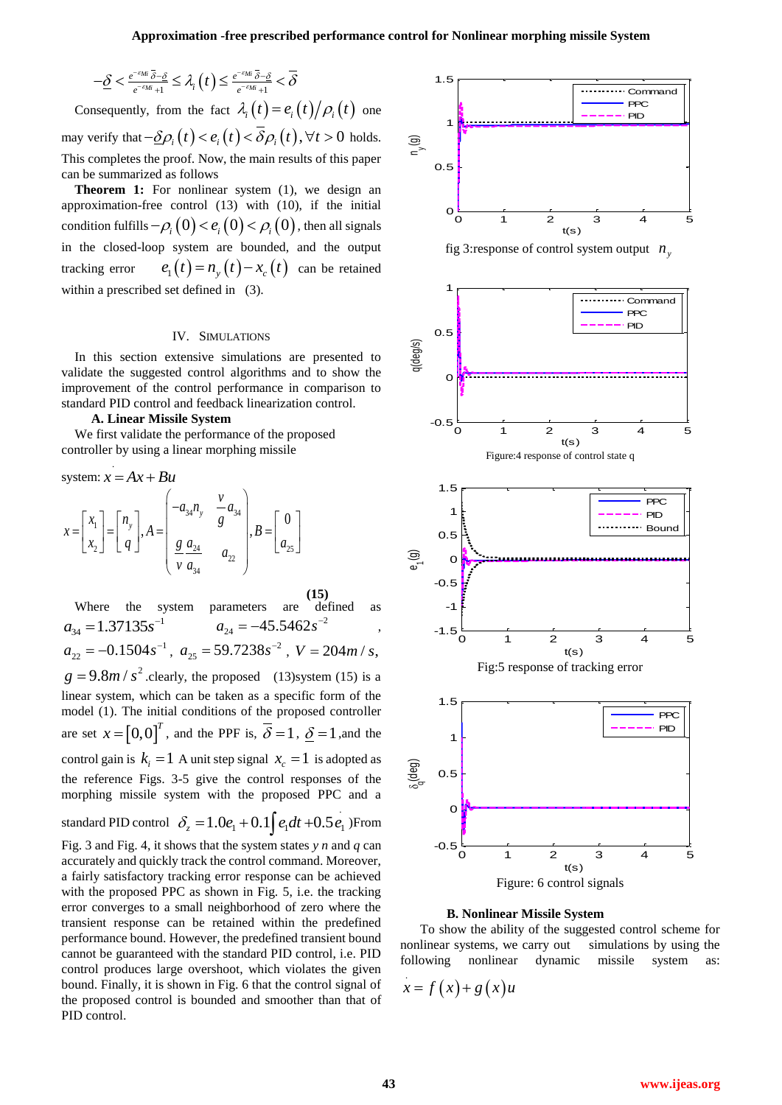$$
-\underline{\delta}<\tfrac{e^{-\varepsilon_{Mi}}\bar{\delta}-\underline{\delta}}{e^{-\varepsilon_{Mi}}+1}\leq\lambda_i\left(t\right)\leq\tfrac{e^{-\varepsilon_{Mi}}\bar{\delta}-\underline{\delta}}{e^{-\varepsilon_{Mi}}+1}<\overline{\delta}
$$

Consequently, from the fact  $\lambda_i(t) = e_i(t)/\rho_i(t)$  one may verify that  $-\underline{\delta}\rho_i(t) < e_i(t) < \overline{\delta}\rho_i(t)$ ,  $\forall t > 0$  holds. This completes the proof. Now, the main results of this paper can be summarized as follows

**Theorem 1:** For nonlinear system (1), we design an approximation-free control (13) with (10), if the initial condition fulfills  $-\rho_i(0) < e_i(0) < \rho_i(0)$ , then all signals in the closed-loop system are bounded, and the output tracking error  $e_1(t) = n_y(t) - x_c(t)$  can be retained within a prescribed set defined in (3).

# IV. SIMULATIONS

In this section extensive simulations are presented to validate the suggested control algorithms and to show the improvement of the control performance in comparison to standard PID control and feedback linearization control.

## **A. Linear Missile System**

.

We first validate the performance of the proposed controller by using a linear morphing missile

system: 
$$
x = Ax + Bu
$$
  
\n
$$
x = \begin{bmatrix} x_1 \\ x_2 \end{bmatrix} = \begin{bmatrix} n_y \\ q \end{bmatrix}, A = \begin{bmatrix} -a_{34}n_y & \frac{v}{g}a_{34} \\ \frac{g}{v} \frac{a_{24}}{a_{34}} & a_{22} \end{bmatrix}, B = \begin{bmatrix} 0 \\ a_{25} \end{bmatrix}
$$

**(15)** Where the system parameters are defined as  $a_{34} = 1.37135s^{-1}$  $a_{24} = -45.5462 s^{-2}$ ,  $a_{22} = -0.1504s^{-1}$ ,  $a_{25} = 59.7238s^{-2}$ ,  $V = 204m/s$ ,  $g = 9.8 m / s^2$  clearly, the proposed (13)system (15) is a linear system, which can be taken as a specific form of the model (1). The initial conditions of the proposed controller are set  $x = [0,0]^T$ , and the PPF is,  $\overline{\delta} = 1$ ,  $\underline{\delta} = 1$ , and the control gain is  $k_i = 1$  A unit step signal  $x_c = 1$  is adopted as the reference Figs. 3-5 give the control responses of the morphing missile system with the proposed PPC and a standard PID control  $\delta_z = 1.0e_1 + 0.1 \int e_1 dt + 0.5 e_1$ )From Fig. 3 and Fig. 4, it shows that the system states *y n* and *q* can accurately and quickly track the control command. Moreover, a fairly satisfactory tracking error response can be achieved with the proposed PPC as shown in Fig. 5, i.e. the tracking error converges to a small neighborhood of zero where the transient response can be retained within the predefined

performance bound. However, the predefined transient bound cannot be guaranteed with the standard PID control, i.e. PID control produces large overshoot, which violates the given bound. Finally, it is shown in Fig. 6 that the control signal of the proposed control is bounded and smoother than that of PID control.



Figure: 6 control signals

### **B. Nonlinear Missile System**

 To show the ability of the suggested control scheme for nonlinear systems, we carry out simulations by using the following nonlinear dynamic missile system as:

$$
x = f(x) + g(x)u
$$

.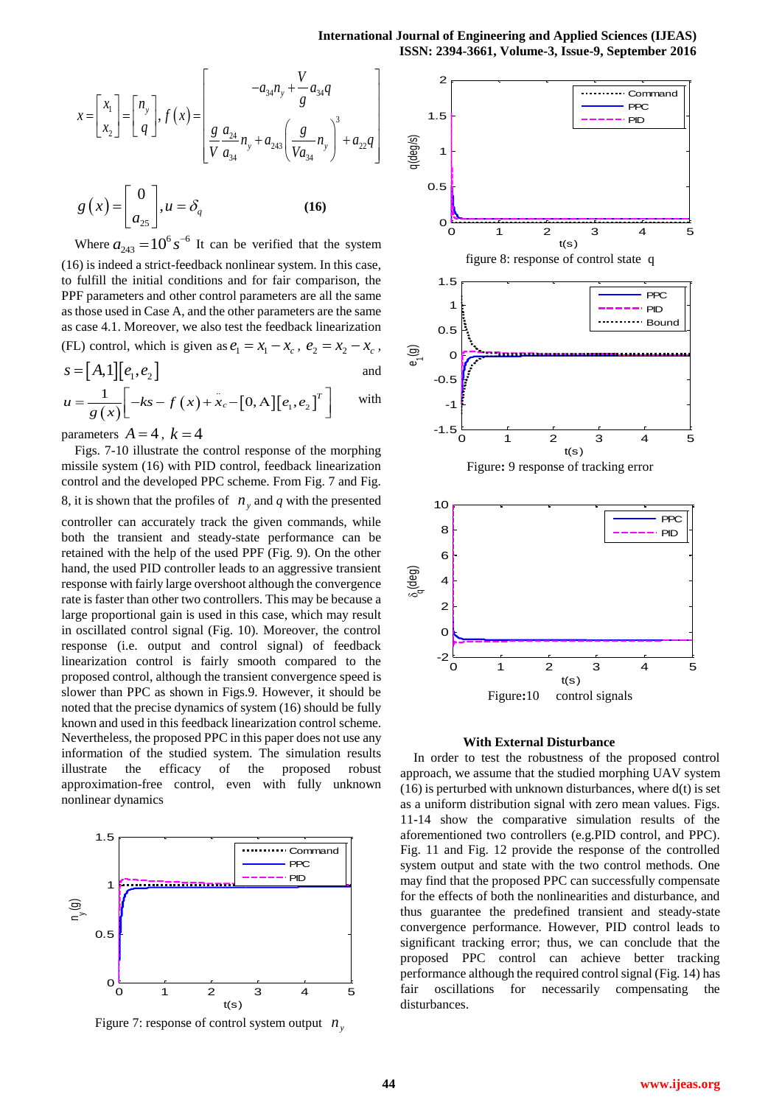$$
x = \begin{bmatrix} x_1 \\ x_2 \end{bmatrix} = \begin{bmatrix} n_y \\ q \end{bmatrix}, f(x) = \begin{bmatrix} -a_{34}n_y + \frac{V}{g}a_{34}q \\ \frac{g}{V} \frac{a_{24}}{a_{34}}n_y + a_{243} \left( \frac{g}{Va_{34}}n_y \right)^3 + a_{22}q \end{bmatrix} \quad \overbrace{\text{sgn}}_{\text{ge}}
$$
\n
$$
g(x) = \begin{bmatrix} 0 \\ a_{25} \end{bmatrix}, u = \delta_q \quad (16)
$$

Where  $a_{243} = 10^6 s^{-6}$  It can be verified that the system (16) is indeed a strict-feedback nonlinear system. In this case, to fulfill the initial conditions and for fair comparison, the PPF parameters and other control parameters are all the same as those used in Case A, and the other parameters are the same as case 4.1. Moreover, we also test the feedback linearization (FL) control, which is given as  $e_1 = x_1 - x_c$ ,  $e_2 = x_2 - x_c$ ,  $s = [A \ 1][\rho \ \rho]$ 

$$
s = [A,1][e1, e2]
$$
 and  

$$
u = \frac{1}{g(x)}[-ks - f(x) + x_c - [0, A][e1, e2]T]
$$
 with

parameters  $A = 4$ ,  $k = 4$ 

Figs. 7-10 illustrate the control response of the morphing missile system (16) with PID control, feedback linearization control and the developed PPC scheme. From Fig. 7 and Fig. 8, it is shown that the profiles of  $n_y$  and  $q$  with the presented controller can accurately track the given commands, while both the transient and steady-state performance can be retained with the help of the used PPF (Fig. 9). On the other hand, the used PID controller leads to an aggressive transient response with fairly large overshoot although the convergence rate is faster than other two controllers. This may be because a large proportional gain is used in this case, which may result in oscillated control signal (Fig. 10). Moreover, the control response (i.e. output and control signal) of feedback linearization control is fairly smooth compared to the proposed control, although the transient convergence speed is slower than PPC as shown in Figs.9. However, it should be noted that the precise dynamics of system (16) should be fully known and used in this feedback linearization control scheme. Nevertheless, the proposed PPC in this paper does not use any information of the studied system. The simulation results illustrate the efficacy of the proposed robust approximation-free control, even with fully unknown nonlinear dynamics



Figure 7: response of control system output  $n_y$ 



#### **With External Disturbance**

In order to test the robustness of the proposed control approach, we assume that the studied morphing UAV system  $(16)$  is perturbed with unknown disturbances, where  $d(t)$  is set as a uniform distribution signal with zero mean values. Figs. 11-14 show the comparative simulation results of the aforementioned two controllers (e.g.PID control, and PPC). Fig. 11 and Fig. 12 provide the response of the controlled system output and state with the two control methods. One may find that the proposed PPC can successfully compensate for the effects of both the nonlinearities and disturbance, and thus guarantee the predefined transient and steady-state convergence performance. However, PID control leads to significant tracking error; thus, we can conclude that the proposed PPC control can achieve better tracking performance although the required control signal (Fig. 14) has fair oscillations for necessarily compensating the disturbances.